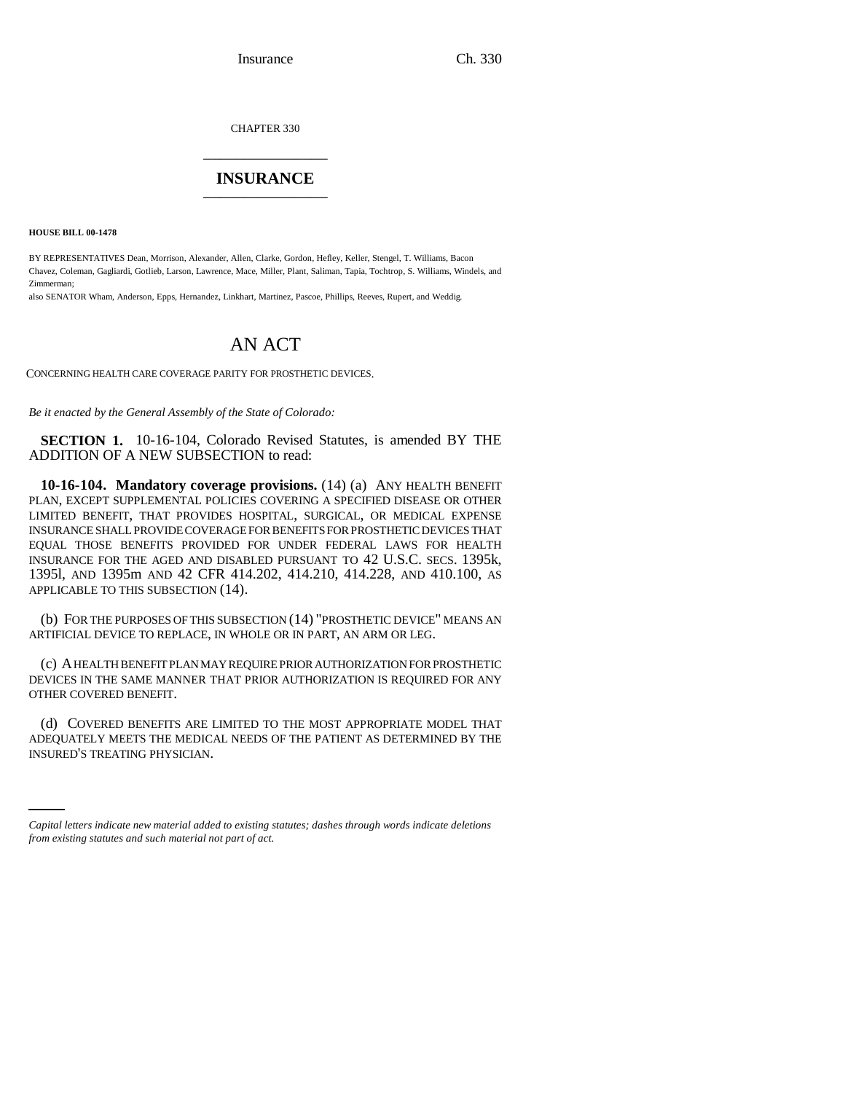Insurance Ch. 330

CHAPTER 330 \_\_\_\_\_\_\_\_\_\_\_\_\_\_\_

## **INSURANCE** \_\_\_\_\_\_\_\_\_\_\_\_\_\_\_

**HOUSE BILL 00-1478**

BY REPRESENTATIVES Dean, Morrison, Alexander, Allen, Clarke, Gordon, Hefley, Keller, Stengel, T. Williams, Bacon Chavez, Coleman, Gagliardi, Gotlieb, Larson, Lawrence, Mace, Miller, Plant, Saliman, Tapia, Tochtrop, S. Williams, Windels, and Zimmerman;

also SENATOR Wham, Anderson, Epps, Hernandez, Linkhart, Martinez, Pascoe, Phillips, Reeves, Rupert, and Weddig.

## AN ACT

CONCERNING HEALTH CARE COVERAGE PARITY FOR PROSTHETIC DEVICES.

*Be it enacted by the General Assembly of the State of Colorado:*

**SECTION 1.** 10-16-104, Colorado Revised Statutes, is amended BY THE ADDITION OF A NEW SUBSECTION to read:

**10-16-104. Mandatory coverage provisions.** (14) (a) ANY HEALTH BENEFIT PLAN, EXCEPT SUPPLEMENTAL POLICIES COVERING A SPECIFIED DISEASE OR OTHER LIMITED BENEFIT, THAT PROVIDES HOSPITAL, SURGICAL, OR MEDICAL EXPENSE INSURANCE SHALL PROVIDE COVERAGE FOR BENEFITS FOR PROSTHETIC DEVICES THAT EQUAL THOSE BENEFITS PROVIDED FOR UNDER FEDERAL LAWS FOR HEALTH INSURANCE FOR THE AGED AND DISABLED PURSUANT TO 42 U.S.C. SECS. 1395k, 1395l, AND 1395m AND 42 CFR 414.202, 414.210, 414.228, AND 410.100, AS APPLICABLE TO THIS SUBSECTION (14).

(b) FOR THE PURPOSES OF THIS SUBSECTION (14) "PROSTHETIC DEVICE" MEANS AN ARTIFICIAL DEVICE TO REPLACE, IN WHOLE OR IN PART, AN ARM OR LEG.

(c) A HEALTH BENEFIT PLAN MAY REQUIRE PRIOR AUTHORIZATION FOR PROSTHETIC DEVICES IN THE SAME MANNER THAT PRIOR AUTHORIZATION IS REQUIRED FOR ANY OTHER COVERED BENEFIT.

ADEQUATELY MEETS THE MEDICAL NEEDS OF THE PATIENT AS DETERMINED BY THE (d) COVERED BENEFITS ARE LIMITED TO THE MOST APPROPRIATE MODEL THAT INSURED'S TREATING PHYSICIAN.

*Capital letters indicate new material added to existing statutes; dashes through words indicate deletions from existing statutes and such material not part of act.*